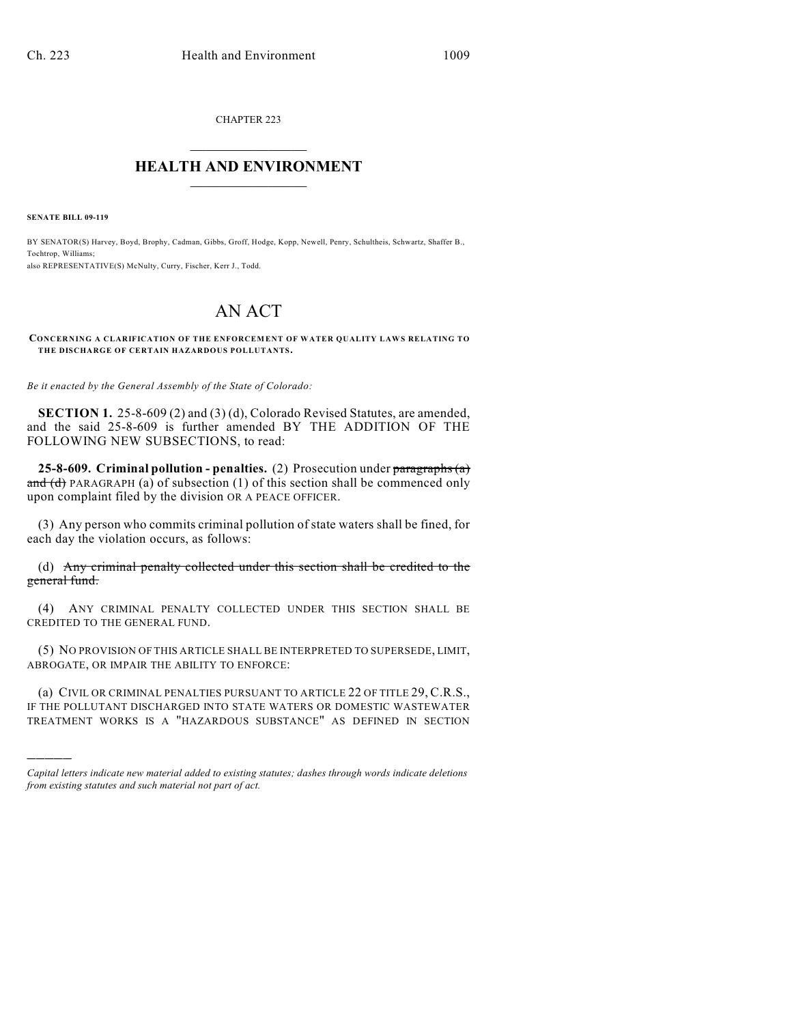CHAPTER 223  $\mathcal{L}_\text{max}$  . The set of the set of the set of the set of the set of the set of the set of the set of the set of the set of the set of the set of the set of the set of the set of the set of the set of the set of the set

## **HEALTH AND ENVIRONMENT**  $\_$

**SENATE BILL 09-119**

)))))

BY SENATOR(S) Harvey, Boyd, Brophy, Cadman, Gibbs, Groff, Hodge, Kopp, Newell, Penry, Schultheis, Schwartz, Shaffer B., Tochtrop, Williams; also REPRESENTATIVE(S) McNulty, Curry, Fischer, Kerr J., Todd.

## AN ACT

**CONCERNING A CLARIFICATION OF THE ENFORCEMENT OF WATER QUALITY LAWS RELATING TO THE DISCHARGE OF CERTAIN HAZARDOUS POLLUTANTS.**

*Be it enacted by the General Assembly of the State of Colorado:*

**SECTION 1.** 25-8-609 (2) and (3) (d), Colorado Revised Statutes, are amended, and the said 25-8-609 is further amended BY THE ADDITION OF THE FOLLOWING NEW SUBSECTIONS, to read:

**25-8-609. Criminal pollution - penalties.** (2) Prosecution under paragraphs (a) and  $(d)$  PARAGRAPH (a) of subsection (1) of this section shall be commenced only upon complaint filed by the division OR A PEACE OFFICER.

(3) Any person who commits criminal pollution of state waters shall be fined, for each day the violation occurs, as follows:

(d) Any criminal penalty collected under this section shall be credited to the general fund.

(4) ANY CRIMINAL PENALTY COLLECTED UNDER THIS SECTION SHALL BE CREDITED TO THE GENERAL FUND.

(5) NO PROVISION OF THIS ARTICLE SHALL BE INTERPRETED TO SUPERSEDE, LIMIT, ABROGATE, OR IMPAIR THE ABILITY TO ENFORCE:

(a) CIVIL OR CRIMINAL PENALTIES PURSUANT TO ARTICLE 22 OF TITLE 29, C.R.S., IF THE POLLUTANT DISCHARGED INTO STATE WATERS OR DOMESTIC WASTEWATER TREATMENT WORKS IS A "HAZARDOUS SUBSTANCE" AS DEFINED IN SECTION

*Capital letters indicate new material added to existing statutes; dashes through words indicate deletions from existing statutes and such material not part of act.*